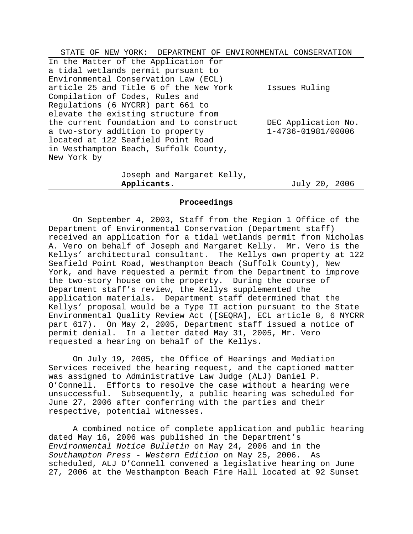| STATE OF NEW YORK: DEPARTMENT OF ENVIRONMENTAL CONSERVATION                                                                                                               |                                           |
|---------------------------------------------------------------------------------------------------------------------------------------------------------------------------|-------------------------------------------|
| In the Matter of the Application for<br>a tidal wetlands permit pursuant to<br>Environmental Conservation Law (ECL)                                                       |                                           |
| article 25 and Title 6 of the New York<br>Compilation of Codes, Rules and<br>Regulations (6 NYCRR) part 661 to<br>elevate the existing structure from                     | Issues Ruling                             |
| the current foundation and to construct<br>a two-story addition to property<br>located at 122 Seafield Point Road<br>in Westhampton Beach, Suffolk County,<br>New York by | DEC Application No.<br>1-4736-01981/00006 |
| Joseph and Margaret Kelly,                                                                                                                                                |                                           |

**Applicants**. July 20, 2006

### **Proceedings**

On September 4, 2003, Staff from the Region 1 Office of the Department of Environmental Conservation (Department staff) received an application for a tidal wetlands permit from Nicholas A. Vero on behalf of Joseph and Margaret Kelly. Mr. Vero is the Kellys' architectural consultant. The Kellys own property at 122 Seafield Point Road, Westhampton Beach (Suffolk County), New York, and have requested a permit from the Department to improve the two-story house on the property. During the course of Department staff's review, the Kellys supplemented the application materials. Department staff determined that the Kellys' proposal would be a Type II action pursuant to the State Environmental Quality Review Act ([SEQRA], ECL article 8, 6 NYCRR part 617). On May 2, 2005, Department staff issued a notice of permit denial. In a letter dated May 31, 2005, Mr. Vero requested a hearing on behalf of the Kellys.

On July 19, 2005, the Office of Hearings and Mediation Services received the hearing request, and the captioned matter was assigned to Administrative Law Judge (ALJ) Daniel P. O'Connell. Efforts to resolve the case without a hearing were unsuccessful. Subsequently, a public hearing was scheduled for June 27, 2006 after conferring with the parties and their respective, potential witnesses.

A combined notice of complete application and public hearing dated May 16, 2006 was published in the Department's *Environmental Notice Bulletin* on May 24, 2006 and in the *Southampton Press - Western Edition* on May 25, 2006. As scheduled, ALJ O'Connell convened a legislative hearing on June 27, 2006 at the Westhampton Beach Fire Hall located at 92 Sunset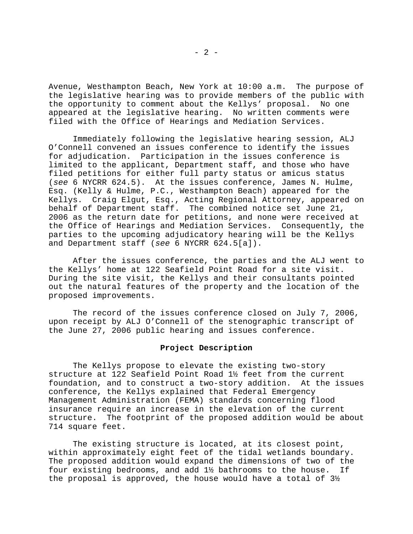Avenue, Westhampton Beach, New York at 10:00 a.m. The purpose of the legislative hearing was to provide members of the public with the opportunity to comment about the Kellys' proposal. No one appeared at the legislative hearing. No written comments were filed with the Office of Hearings and Mediation Services.

Immediately following the legislative hearing session, ALJ O'Connell convened an issues conference to identify the issues for adjudication. Participation in the issues conference is limited to the applicant, Department staff, and those who have filed petitions for either full party status or amicus status (*see* 6 NYCRR 624.5). At the issues conference, James N. Hulme, Esq. (Kelly & Hulme, P.C., Westhampton Beach) appeared for the Kellys. Craig Elgut, Esq., Acting Regional Attorney, appeared on behalf of Department staff. The combined notice set June 21, 2006 as the return date for petitions, and none were received at the Office of Hearings and Mediation Services. Consequently, the parties to the upcoming adjudicatory hearing will be the Kellys and Department staff (*see* 6 NYCRR 624.5[a]).

After the issues conference, the parties and the ALJ went to the Kellys' home at 122 Seafield Point Road for a site visit. During the site visit, the Kellys and their consultants pointed out the natural features of the property and the location of the proposed improvements.

The record of the issues conference closed on July 7, 2006, upon receipt by ALJ O'Connell of the stenographic transcript of the June 27, 2006 public hearing and issues conference.

### **Project Description**

The Kellys propose to elevate the existing two-story structure at 122 Seafield Point Road 1½ feet from the current foundation, and to construct a two-story addition. At the issues conference, the Kellys explained that Federal Emergency Management Administration (FEMA) standards concerning flood insurance require an increase in the elevation of the current structure. The footprint of the proposed addition would be about 714 square feet.

The existing structure is located, at its closest point, within approximately eight feet of the tidal wetlands boundary. The proposed addition would expand the dimensions of two of the four existing bedrooms, and add 1½ bathrooms to the house. If the proposal is approved, the house would have a total of  $3\frac{1}{2}$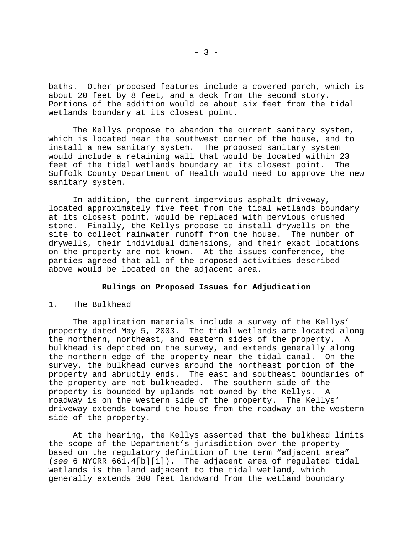baths. Other proposed features include a covered porch, which is about 20 feet by 8 feet, and a deck from the second story. Portions of the addition would be about six feet from the tidal wetlands boundary at its closest point.

The Kellys propose to abandon the current sanitary system, which is located near the southwest corner of the house, and to install a new sanitary system. The proposed sanitary system would include a retaining wall that would be located within 23 feet of the tidal wetlands boundary at its closest point. The Suffolk County Department of Health would need to approve the new sanitary system.

In addition, the current impervious asphalt driveway, located approximately five feet from the tidal wetlands boundary at its closest point, would be replaced with pervious crushed stone. Finally, the Kellys propose to install drywells on the site to collect rainwater runoff from the house. The number of drywells, their individual dimensions, and their exact locations on the property are not known. At the issues conference, the parties agreed that all of the proposed activities described above would be located on the adjacent area.

## **Rulings on Proposed Issues for Adjudication**

# 1. The Bulkhead

The application materials include a survey of the Kellys' property dated May 5, 2003. The tidal wetlands are located along the northern, northeast, and eastern sides of the property. A bulkhead is depicted on the survey, and extends generally along the northern edge of the property near the tidal canal. On the survey, the bulkhead curves around the northeast portion of the property and abruptly ends. The east and southeast boundaries of the property are not bulkheaded. The southern side of the property is bounded by uplands not owned by the Kellys. A roadway is on the western side of the property. The Kellys' driveway extends toward the house from the roadway on the western side of the property.

At the hearing, the Kellys asserted that the bulkhead limits the scope of the Department's jurisdiction over the property based on the regulatory definition of the term "adjacent area" (*see* 6 NYCRR 661.4[b][1]). The adjacent area of regulated tidal wetlands is the land adjacent to the tidal wetland, which generally extends 300 feet landward from the wetland boundary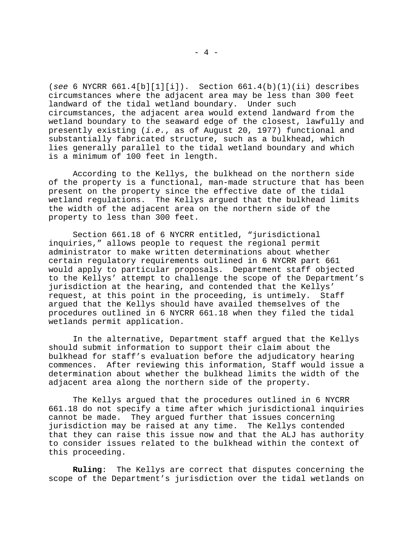(*see* 6 NYCRR 661.4[b][1][i]). Section 661.4(b)(1)(ii) describes circumstances where the adjacent area may be less than 300 feet landward of the tidal wetland boundary. Under such circumstances, the adjacent area would extend landward from the wetland boundary to the seaward edge of the closest, lawfully and presently existing (*i.e.*, as of August 20, 1977) functional and substantially fabricated structure, such as a bulkhead, which lies generally parallel to the tidal wetland boundary and which is a minimum of 100 feet in length.

According to the Kellys, the bulkhead on the northern side of the property is a functional, man-made structure that has been present on the property since the effective date of the tidal wetland regulations. The Kellys argued that the bulkhead limits the width of the adjacent area on the northern side of the property to less than 300 feet.

Section 661.18 of 6 NYCRR entitled, "jurisdictional inquiries," allows people to request the regional permit administrator to make written determinations about whether certain regulatory requirements outlined in 6 NYCRR part 661 would apply to particular proposals. Department staff objected to the Kellys' attempt to challenge the scope of the Department's jurisdiction at the hearing, and contended that the Kellys' request, at this point in the proceeding, is untimely. Staff argued that the Kellys should have availed themselves of the procedures outlined in 6 NYCRR 661.18 when they filed the tidal wetlands permit application.

In the alternative, Department staff argued that the Kellys should submit information to support their claim about the bulkhead for staff's evaluation before the adjudicatory hearing commences. After reviewing this information, Staff would issue a determination about whether the bulkhead limits the width of the adjacent area along the northern side of the property.

The Kellys argued that the procedures outlined in 6 NYCRR 661.18 do not specify a time after which jurisdictional inquiries cannot be made. They argued further that issues concerning jurisdiction may be raised at any time. The Kellys contended that they can raise this issue now and that the ALJ has authority to consider issues related to the bulkhead within the context of this proceeding.

**Ruling**: The Kellys are correct that disputes concerning the scope of the Department's jurisdiction over the tidal wetlands on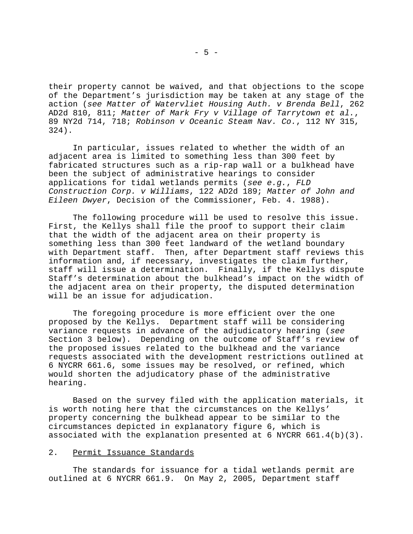their property cannot be waived, and that objections to the scope of the Department's jurisdiction may be taken at any stage of the action (*see Matter of Watervliet Housing Auth. v Brenda Bell*, 262 AD2d 810, 811; *Matter of Mark Fry v Village of Tarrytown et al.*, 89 NY2d 714, 718; *Robinson v Oceanic Steam Nav. Co.*, 112 NY 315, 324).

In particular, issues related to whether the width of an adjacent area is limited to something less than 300 feet by fabricated structures such as a rip-rap wall or a bulkhead have been the subject of administrative hearings to consider applications for tidal wetlands permits (*see e.g.*, *FLD Construction Corp. v Williams*, 122 AD2d 189; *Matter of John and Eileen Dwyer*, Decision of the Commissioner, Feb. 4. 1988).

The following procedure will be used to resolve this issue. First, the Kellys shall file the proof to support their claim that the width of the adjacent area on their property is something less than 300 feet landward of the wetland boundary with Department staff. Then, after Department staff reviews this information and, if necessary, investigates the claim further, staff will issue a determination. Finally, if the Kellys dispute Staff's determination about the bulkhead's impact on the width of the adjacent area on their property, the disputed determination will be an issue for adjudication.

The foregoing procedure is more efficient over the one proposed by the Kellys. Department staff will be considering variance requests in advance of the adjudicatory hearing (*see* Section 3 below). Depending on the outcome of Staff's review of the proposed issues related to the bulkhead and the variance requests associated with the development restrictions outlined at 6 NYCRR 661.6, some issues may be resolved, or refined, which would shorten the adjudicatory phase of the administrative hearing.

Based on the survey filed with the application materials, it is worth noting here that the circumstances on the Kellys' property concerning the bulkhead appear to be similar to the circumstances depicted in explanatory figure 6, which is associated with the explanation presented at 6 NYCRR 661.4(b)(3).

# 2. Permit Issuance Standards

The standards for issuance for a tidal wetlands permit are outlined at 6 NYCRR 661.9. On May 2, 2005, Department staff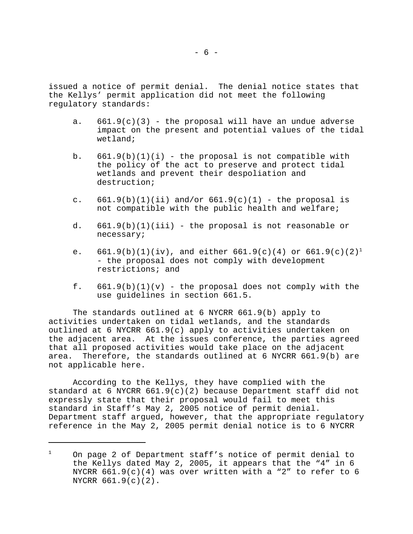issued a notice of permit denial. The denial notice states that the Kellys' permit application did not meet the following regulatory standards:

- a.  $661.9(c)(3)$  the proposal will have an undue adverse impact on the present and potential values of the tidal wetland;
- b.  $661.9(b)(1)(i)$  the proposal is not compatible with the policy of the act to preserve and protect tidal wetlands and prevent their despoliation and destruction;
- c.  $661.9(b)(1)(ii)$  and/or  $661.9(c)(1)$  the proposal is not compatible with the public health and welfare;
- d. 661.9(b)(1)(iii) the proposal is not reasonable or necessary;
- e.  $661.9(b)(1)(iv)$ , and either  $661.9(c)(4)$  or  $661.9(c)(2)^1$ - the proposal does not comply with development restrictions; and
- f.  $661.9(b)(1)(v)$  the proposal does not comply with the use guidelines in section 661.5.

The standards outlined at 6 NYCRR 661.9(b) apply to activities undertaken on tidal wetlands, and the standards outlined at 6 NYCRR 661.9(c) apply to activities undertaken on the adjacent area. At the issues conference, the parties agreed that all proposed activities would take place on the adjacent area. Therefore, the standards outlined at 6 NYCRR 661.9(b) are not applicable here.

According to the Kellys, they have complied with the standard at 6 NYCRR  $661.9(c)(2)$  because Department staff did not expressly state that their proposal would fail to meet this standard in Staff's May 2, 2005 notice of permit denial. Department staff argued, however, that the appropriate regulatory reference in the May 2, 2005 permit denial notice is to 6 NYCRR

 $1$  On page 2 of Department staff's notice of permit denial to the Kellys dated May 2, 2005, it appears that the "4" in 6 NYCRR  $661.9(c)(4)$  was over written with a "2" to refer to 6 NYCRR 661.9(c)(2).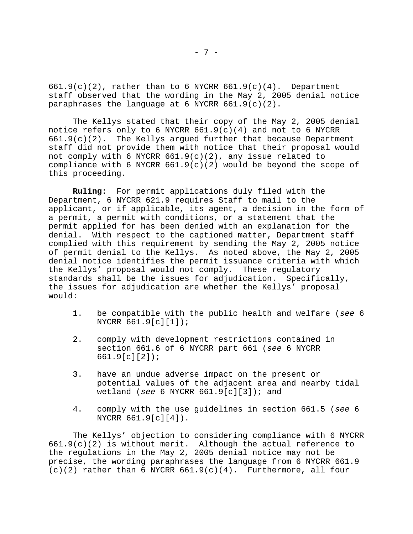$661.9(c)(2)$ , rather than to 6 NYCRR  $661.9(c)(4)$ . Department staff observed that the wording in the May 2, 2005 denial notice paraphrases the language at 6 NYCRR  $661.9(c)(2)$ .

The Kellys stated that their copy of the May 2, 2005 denial notice refers only to 6 NYCRR  $661.9(c)(4)$  and not to 6 NYCRR 661.9(c)(2). The Kellys argued further that because Department staff did not provide them with notice that their proposal would not comply with 6 NYCRR  $661.9(c)(2)$ , any issue related to compliance with 6 NYCRR  $661.9(c)(2)$  would be beyond the scope of this proceeding.

**Ruling:** For permit applications duly filed with the Department, 6 NYCRR 621.9 requires Staff to mail to the applicant, or if applicable, its agent, a decision in the form of a permit, a permit with conditions, or a statement that the permit applied for has been denied with an explanation for the denial. With respect to the captioned matter, Department staff complied with this requirement by sending the May 2, 2005 notice of permit denial to the Kellys. As noted above, the May 2, 2005 denial notice identifies the permit issuance criteria with which the Kellys' proposal would not comply. These regulatory standards shall be the issues for adjudication. Specifically, the issues for adjudication are whether the Kellys' proposal would:

- 1. be compatible with the public health and welfare (*see* 6 NYCRR 661.9[c][1]);
- 2. comply with development restrictions contained in section 661.6 of 6 NYCRR part 661 (*see* 6 NYCRR 661.9[c][2]);
- 3. have an undue adverse impact on the present or potential values of the adjacent area and nearby tidal wetland (*see* 6 NYCRR 661.9[c][3]); and
- 4. comply with the use guidelines in section 661.5 (*see* 6 NYCRR 661.9[c][4]).

The Kellys' objection to considering compliance with 6 NYCRR 661.9(c)(2) is without merit. Although the actual reference to the regulations in the May 2, 2005 denial notice may not be precise, the wording paraphrases the language from 6 NYCRR 661.9  $(c)(2)$  rather than 6 NYCRR  $661.9(c)(4)$ . Furthermore, all four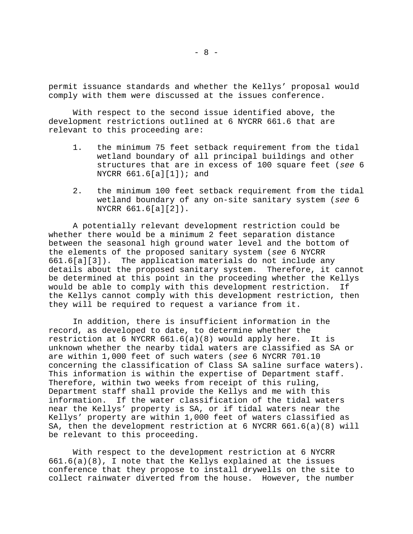permit issuance standards and whether the Kellys' proposal would comply with them were discussed at the issues conference.

With respect to the second issue identified above, the development restrictions outlined at 6 NYCRR 661.6 that are relevant to this proceeding are:

- 1. the minimum 75 feet setback requirement from the tidal wetland boundary of all principal buildings and other structures that are in excess of 100 square feet (*see* 6 NYCRR  $661.6[a][1])$ ; and
- 2. the minimum 100 feet setback requirement from the tidal wetland boundary of any on-site sanitary system (*see* 6 NYCRR 661.6[a][2]).

A potentially relevant development restriction could be whether there would be a minimum 2 feet separation distance between the seasonal high ground water level and the bottom of the elements of the proposed sanitary system (*see* 6 NYCRR 661.6[a][3]). The application materials do not include any details about the proposed sanitary system. Therefore, it cannot be determined at this point in the proceeding whether the Kellys would be able to comply with this development restriction. If the Kellys cannot comply with this development restriction, then they will be required to request a variance from it.

In addition, there is insufficient information in the record, as developed to date, to determine whether the restriction at 6 NYCRR  $661.6(a)(8)$  would apply here. It is unknown whether the nearby tidal waters are classified as SA or are within 1,000 feet of such waters (*see* 6 NYCRR 701.10 concerning the classification of Class SA saline surface waters). This information is within the expertise of Department staff. Therefore, within two weeks from receipt of this ruling, Department staff shall provide the Kellys and me with this information. If the water classification of the tidal waters near the Kellys' property is SA, or if tidal waters near the Kellys' property are within 1,000 feet of waters classified as SA, then the development restriction at 6 NYCRR 661.6(a)(8) will be relevant to this proceeding.

With respect to the development restriction at 6 NYCRR 661.6(a)(8), I note that the Kellys explained at the issues conference that they propose to install drywells on the site to collect rainwater diverted from the house. However, the number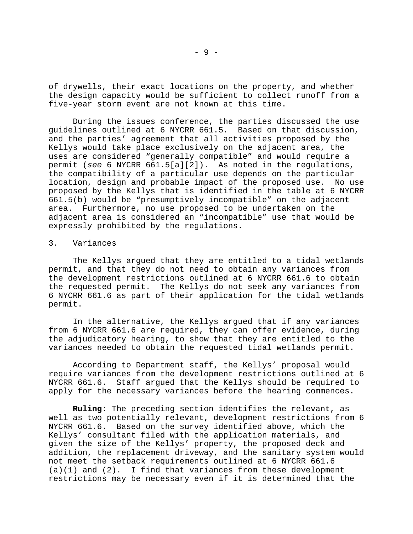of drywells, their exact locations on the property, and whether the design capacity would be sufficient to collect runoff from a five-year storm event are not known at this time.

During the issues conference, the parties discussed the use guidelines outlined at 6 NYCRR 661.5. Based on that discussion, and the parties' agreement that all activities proposed by the Kellys would take place exclusively on the adjacent area, the uses are considered "generally compatible" and would require a permit (*see* 6 NYCRR 661.5[a][2]). As noted in the regulations, the compatibility of a particular use depends on the particular location, design and probable impact of the proposed use. No use proposed by the Kellys that is identified in the table at 6 NYCRR 661.5(b) would be "presumptively incompatible" on the adjacent area. Furthermore, no use proposed to be undertaken on the adjacent area is considered an "incompatible" use that would be expressly prohibited by the regulations.

#### 3. Variances

The Kellys argued that they are entitled to a tidal wetlands permit, and that they do not need to obtain any variances from the development restrictions outlined at 6 NYCRR 661.6 to obtain the requested permit. The Kellys do not seek any variances from 6 NYCRR 661.6 as part of their application for the tidal wetlands permit.

In the alternative, the Kellys argued that if any variances from 6 NYCRR 661.6 are required, they can offer evidence, during the adjudicatory hearing, to show that they are entitled to the variances needed to obtain the requested tidal wetlands permit.

According to Department staff, the Kellys' proposal would require variances from the development restrictions outlined at 6 NYCRR 661.6. Staff argued that the Kellys should be required to apply for the necessary variances before the hearing commences.

**Ruling**: The preceding section identifies the relevant, as well as two potentially relevant, development restrictions from 6 NYCRR 661.6. Based on the survey identified above, which the Kellys' consultant filed with the application materials, and given the size of the Kellys' property, the proposed deck and addition, the replacement driveway, and the sanitary system would not meet the setback requirements outlined at 6 NYCRR 661.6  $(a)(1)$  and  $(2)$ . I find that variances from these development restrictions may be necessary even if it is determined that the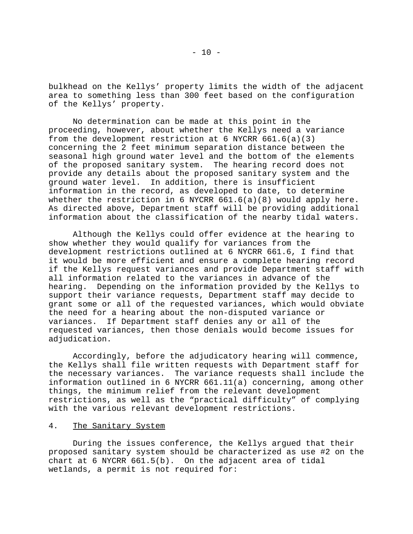bulkhead on the Kellys' property limits the width of the adjacent area to something less than 300 feet based on the configuration of the Kellys' property.

No determination can be made at this point in the proceeding, however, about whether the Kellys need a variance from the development restriction at 6 NYCRR  $661.6(a)(3)$ concerning the 2 feet minimum separation distance between the seasonal high ground water level and the bottom of the elements of the proposed sanitary system. The hearing record does not provide any details about the proposed sanitary system and the ground water level. In addition, there is insufficient information in the record, as developed to date, to determine whether the restriction in 6 NYCRR 661.6(a)(8) would apply here. As directed above, Department staff will be providing additional information about the classification of the nearby tidal waters.

Although the Kellys could offer evidence at the hearing to show whether they would qualify for variances from the development restrictions outlined at 6 NYCRR 661.6, I find that it would be more efficient and ensure a complete hearing record if the Kellys request variances and provide Department staff with all information related to the variances in advance of the hearing. Depending on the information provided by the Kellys to support their variance requests, Department staff may decide to grant some or all of the requested variances, which would obviate the need for a hearing about the non-disputed variance or variances. If Department staff denies any or all of the requested variances, then those denials would become issues for adjudication.

Accordingly, before the adjudicatory hearing will commence, the Kellys shall file written requests with Department staff for the necessary variances. The variance requests shall include the information outlined in 6 NYCRR 661.11(a) concerning, among other things, the minimum relief from the relevant development restrictions, as well as the "practical difficulty" of complying with the various relevant development restrictions.

# 4. The Sanitary System

During the issues conference, the Kellys argued that their proposed sanitary system should be characterized as use #2 on the chart at 6 NYCRR 661.5(b). On the adjacent area of tidal wetlands, a permit is not required for: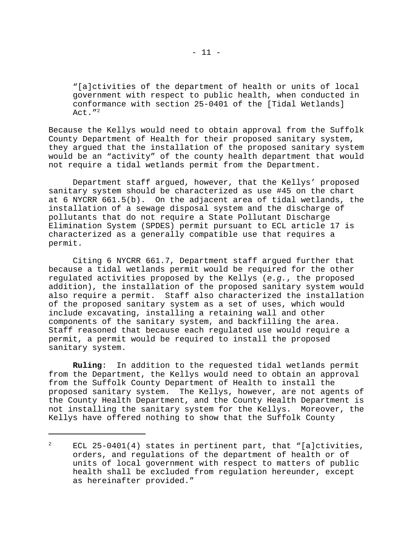"[a]ctivities of the department of health or units of local government with respect to public health, when conducted in conformance with section 25-0401 of the [Tidal Wetlands]  $Act.$   $''<sup>2</sup>$ 

Because the Kellys would need to obtain approval from the Suffolk County Department of Health for their proposed sanitary system, they argued that the installation of the proposed sanitary system would be an "activity" of the county health department that would not require a tidal wetlands permit from the Department.

Department staff argued, however, that the Kellys' proposed sanitary system should be characterized as use #45 on the chart at 6 NYCRR 661.5(b). On the adjacent area of tidal wetlands, the installation of a sewage disposal system and the discharge of pollutants that do not require a State Pollutant Discharge Elimination System (SPDES) permit pursuant to ECL article 17 is characterized as a generally compatible use that requires a permit.

Citing 6 NYCRR 661.7, Department staff argued further that because a tidal wetlands permit would be required for the other regulated activities proposed by the Kellys (*e.g.*, the proposed addition), the installation of the proposed sanitary system would also require a permit. Staff also characterized the installation of the proposed sanitary system as a set of uses, which would include excavating, installing a retaining wall and other components of the sanitary system, and backfilling the area. Staff reasoned that because each regulated use would require a permit, a permit would be required to install the proposed sanitary system.

**Ruling**: In addition to the requested tidal wetlands permit from the Department, the Kellys would need to obtain an approval from the Suffolk County Department of Health to install the proposed sanitary system. The Kellys, however, are not agents of the County Health Department, and the County Health Department is not installing the sanitary system for the Kellys. Moreover, the Kellys have offered nothing to show that the Suffolk County

<sup>&</sup>lt;sup>2</sup> ECL 25-0401(4) states in pertinent part, that "[a]ctivities, orders, and regulations of the department of health or of units of local government with respect to matters of public health shall be excluded from regulation hereunder, except as hereinafter provided."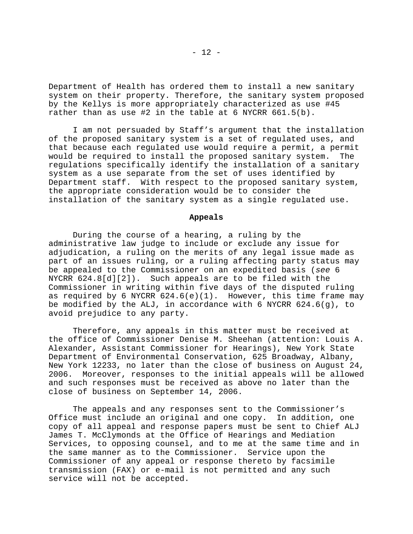Department of Health has ordered them to install a new sanitary system on their property. Therefore, the sanitary system proposed by the Kellys is more appropriately characterized as use #45 rather than as use #2 in the table at 6 NYCRR 661.5(b).

I am not persuaded by Staff's argument that the installation of the proposed sanitary system is a set of regulated uses, and that because each regulated use would require a permit, a permit would be required to install the proposed sanitary system. The regulations specifically identify the installation of a sanitary system as a use separate from the set of uses identified by Department staff. With respect to the proposed sanitary system, the appropriate consideration would be to consider the installation of the sanitary system as a single regulated use.

#### **Appeals**

During the course of a hearing, a ruling by the administrative law judge to include or exclude any issue for adjudication, a ruling on the merits of any legal issue made as part of an issues ruling, or a ruling affecting party status may be appealed to the Commissioner on an expedited basis (*see* 6 NYCRR 624.8[d][2]). Such appeals are to be filed with the Commissioner in writing within five days of the disputed ruling as required by 6 NYCRR  $624.6(e)(1)$ . However, this time frame may be modified by the ALJ, in accordance with 6 NYCRR  $624.6(q)$ , to avoid prejudice to any party.

Therefore, any appeals in this matter must be received at the office of Commissioner Denise M. Sheehan (attention: Louis A. Alexander, Assistant Commissioner for Hearings), New York State Department of Environmental Conservation, 625 Broadway, Albany, New York 12233, no later than the close of business on August 24,<br>2006. Moreover, responses to the initial appeals will be allowed Moreover, responses to the initial appeals will be allowed and such responses must be received as above no later than the close of business on September 14, 2006.

The appeals and any responses sent to the Commissioner's Office must include an original and one copy. In addition, one copy of all appeal and response papers must be sent to Chief ALJ James T. McClymonds at the Office of Hearings and Mediation Services, to opposing counsel, and to me at the same time and in the same manner as to the Commissioner. Service upon the Commissioner of any appeal or response thereto by facsimile transmission (FAX) or e-mail is not permitted and any such service will not be accepted.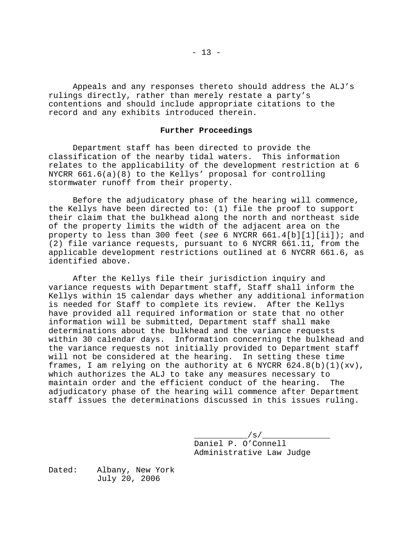Appeals and any responses thereto should address the ALJ's rulings directly, rather than merely restate a party's contentions and should include appropriate citations to the record and any exhibits introduced therein.

## **Further Proceedings**

Department staff has been directed to provide the classification of the nearby tidal waters. This information relates to the applicability of the development restriction at 6 NYCRR 661.6(a)(8) to the Kellys' proposal for controlling stormwater runoff from their property.

Before the adjudicatory phase of the hearing will commence, the Kellys have been directed to: (1) file the proof to support their claim that the bulkhead along the north and northeast side of the property limits the width of the adjacent area on the property to less than 300 feet (*see* 6 NYCRR 661.4[b][1][ii]); and (2) file variance requests, pursuant to 6 NYCRR 661.11, from the applicable development restrictions outlined at 6 NYCRR 661.6, as identified above.

After the Kellys file their jurisdiction inquiry and variance requests with Department staff, Staff shall inform the Kellys within 15 calendar days whether any additional information is needed for Staff to complete its review. After the Kellys have provided all required information or state that no other information will be submitted, Department staff shall make determinations about the bulkhead and the variance requests within 30 calendar days. Information concerning the bulkhead and the variance requests not initially provided to Department staff will not be considered at the hearing. In setting these time frames, I am relying on the authority at 6 NYCRR  $624.8(b)(1)(xv)$ , which authorizes the ALJ to take any measures necessary to maintain order and the efficient conduct of the hearing. The adjudicatory phase of the hearing will commence after Department staff issues the determinations discussed in this issues ruling.

> $\angle$  s/ $\angle$ Daniel P. O'Connell Administrative Law Judge

Dated: Albany, New York July 20, 2006